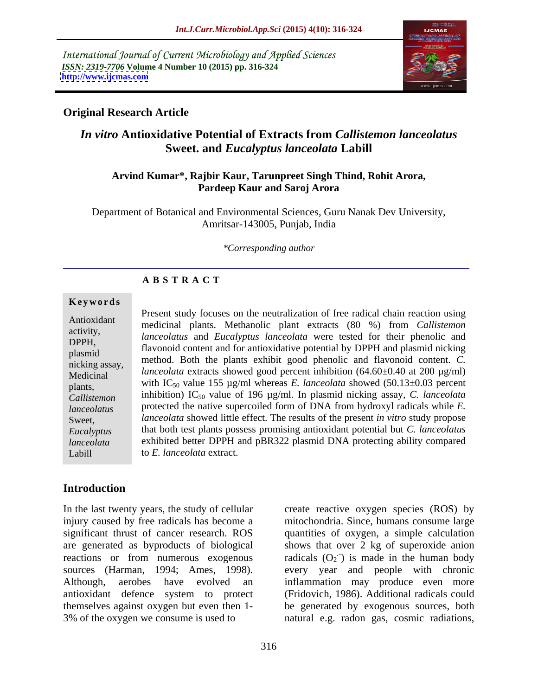International Journal of Current Microbiology and Applied Sciences *ISSN: 2319-7706* **Volume 4 Number 10 (2015) pp. 316-324 <http://www.ijcmas.com>**



## **Original Research Article**

# *In vitro* **Antioxidative Potential of Extracts from** *Callistemon lanceolatus*  **Sweet. and** *Eucalyptus lanceolata* **Labill**

### **Arvind Kumar\*, Rajbir Kaur, Tarunpreet Singh Thind, Rohit Arora, Pardeep Kaur and Saroj Arora**

Department of Botanical and Environmental Sciences, Guru Nanak Dev University, Amritsar-143005, Punjab, India

*\*Corresponding author*

### **A B S T R A C T**

Labill

Present study focuses on the neutralization of free radical chain reaction using medicinal plants. Methanolic plant extracts (80 %) from *Callistemon*  Antioxidant *lanceolatus* and *Eucalyptus lanceolata* were tested for their phenolic and activity, Examples the contract and the content and for antioxidative potential by DPPH and plasmid nicking<br>
Decemination of the property of the property of the property of the property of the plasmid nicking method. Both the plants exhibit good phenolic and flavonoid content. *C*. *lanceolata* extracts showed good percent inhibition (64.60±0.40 at 200 µg/ml)<br>Medicinal plants, with IC<sub>50</sub> value 155  $\mu$ g/ml whereas *E. lanceolata* showed (50.13±0.03 percent inhibition) IC50 value of 196 µg/ml. In plasmid nicking assay, *C. lanceolata Callistemon*  protected the native supercoiled form of DNA from hydroxyl radicals while *E. lanceolatus lanceolata* showed little effect. The results of the present *in vitro* study propose Sweet, that both test plants possess promising antioxidant potential but *C. lanceolatus Eucalyptus*  exhibited better DPPH and pBR322 plasmid DNA protecting ability compared *lanceolata* to *E. lanceolata* extract. **Ke ywo rds** nicking assay,  $\frac{1}{1}$   $\frac{1}{1}$   $\frac{1}{1}$   $\frac{1}{1}$   $\frac{1}{1}$   $\frac{1}{1}$   $\frac{1}{1}$   $\frac{1}{1}$   $\frac{1}{1}$   $\frac{1}{1}$   $\frac{1}{1}$   $\frac{1}{1}$   $\frac{1}{1}$   $\frac{1}{1}$   $\frac{1}{1}$   $\frac{1}{1}$   $\frac{1}{1}$   $\frac{1}{1}$   $\frac{1}{1}$   $\frac{1}{1}$   $\frac{1}{$ 

## **Introduction**

In the last twenty years, the study of cellular create reactive oxygen species (ROS) by antioxidant defence system to protect

injury caused by free radicals has become a mitochondria. Since, humans consume large significant thrust of cancer research. ROS quantities of oxygen, a simple calculation are generated as byproducts of biological shows that over 2 kg of superoxide anion reactions or from numerous exogenous radicals  $(O_2)$  is made in the human body sources (Harman, 1994; Ames, 1998). every year and people with chronic Although, aerobes have evolved an inflammation may produce even more themselves against oxygen but even then 1- be generated by exogenous sources, both 3% of the oxygen we consume is used to natural e.g. radon gas, cosmic radiations, (Fridovich, 1986). Additional radicals could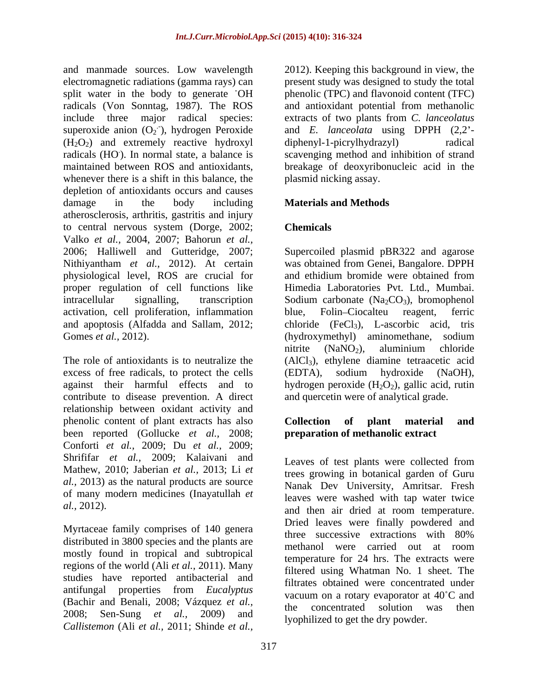and manmade sources. Low wavelength 2012). Keeping this background in view, the electromagnetic radiations (gamma rays) can split water in the body to generate OH phenolic (TPC) and flavonoid content (TFC) radicals (Von Sonntag, 1987). The ROS and antioxidant potential from methanolic include three major radical species: extracts of two plants from *C. lanceolatus* superoxide anion  $(O_2)$ , hydrogen Peroxide  $(H<sub>2</sub>O<sub>2</sub>)$  and extremely reactive hydroxyl diphenyl-1-picrylhydrazyl) radical radicals (HO). In normal state, a balance is scavenging method and inhibition of strand maintained between ROS and antioxidants, breakage of deoxyribonucleic acid in the whenever there is a shift in this balance, the depletion of antioxidants occurs and causes damage in the body including **Materials and Methods** atherosclerosis, arthritis, gastritis and injury to central nervous system (Dorge, 2002; Valko *et al.,* 2004, 2007; Bahorun *et al.,* 2006; Halliwell and Gutteridge, 2007; Supercoiled plasmid pBR322 and agarose Nithiyantham *et al.,* 2012). At certain was obtained from Genei, Bangalore. DPPH physiological level, ROS are crucial for proper regulation of cell functions like intracellular signalling, transcription Sodium carbonate  $(Na_2CO_3)$ , bromophenol activation, cell proliferation, inflammation blue, Folin-Ciocalteu reagent, ferric and apoptosis (Alfadda and Sallam, 2012; Gomes *et al.*, 2012). (hydroxymethyl) aminomethane, sodium

excess of free radicals, to protect the cells (EDTA), sodium hydroxide (NaOH), contribute to disease prevention. A direct relationship between oxidant activity and phenolic content of plant extracts has also **Collection** of plant material and been reported (Gollucke *et al.,* 2008; Conforti *et al.,* 2009; Du *et al.,* 2009; Shrififar *et al.,* 2009; Kalaivani and Mathew, 2010; Jaberian *et al.,* 2013; Li *et al.,* 2013) as the natural products are source of many modern medicines (Inayatullah *et* 

Myrtaceae family comprises of 140 genera<br>three successive extractions with 80% distributed in 3800 species and the plants are<br>methanol were carried out at room mostly found in tropical and subtropical regions of the world (Ali *et al.,* 2011). Many studies have reported antibacterial and antifungal properties from *Eucalyptus* (Bachir and Benali, 2008; Vázquez *et al., Callistemon* (Ali *et al.,* 2011; Shinde *et al.,*

.- ), hydrogen Peroxide and *E. lanceolata* using DPPH (2,2 present study was designed to study the total  $diphenyl-1-picrylhydrazyl)$ plasmid nicking assay.

## **Materials and Methods**

## **Chemicals**

The role of antioxidants is to neutralize the  $(AICI_3)$ , ethylene diamine tetraacetic acid against their harmful effects and to hydrogen peroxide  $(H_2O_2)$ , gallic acid, rutin and ethidium bromide were obtained from Himedia Laboratories Pvt. Ltd., Mumbai. blue, Folin-Ciocalteu reagent, ferric chloride  $(FeCl<sub>3</sub>)$ , L-ascorbic acid, tris nitrite  $(NaNO<sub>2</sub>)$ , aluminium chloride (EDTA), sodium hydroxide (NaOH), and quercetin were of analytical grade.

## **Collection of plant material and preparation of methanolic extract**

*al.,* 2012). and then air dried at room temperature. 2008; Sen-Sung *et al.,* 2009) and Leaves of test plants were collected from trees growing in botanical garden of Guru Nanak Dev University, Amritsar. Fresh leaves were washed with tap water twice Dried leaves were finally powdered and three successive extractions with 80% methanol were carried out at room temperature for 24 hrs. The extracts were filtered using Whatman No. 1 sheet. The filtrates obtained were concentrated under vacuum on a rotary evaporator at  $40^{\circ}$ C and the concentrated solution was then lyophilized to get the dry powder.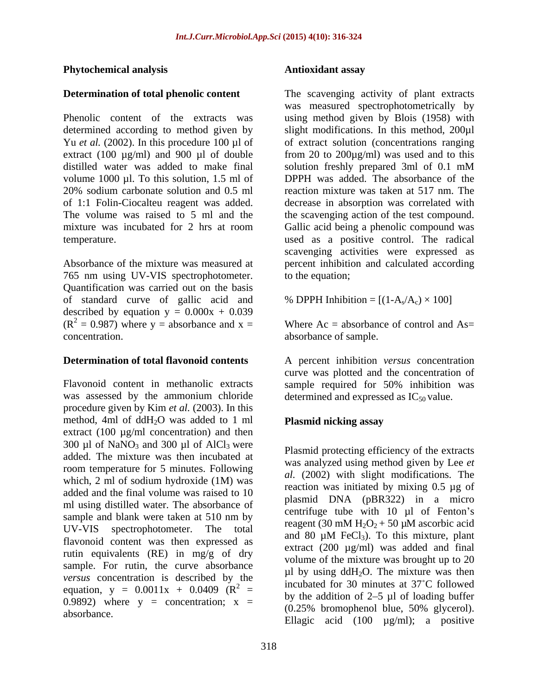### **Phytochemical analysis**

distilled water was added to make final solution freshly prepared 3ml of 0.1 mM volume 1000 µl. To this solution, 1.5 ml of 20% sodium carbonate solution and 0.5 ml

765 nm using UV-VIS spectrophotometer. Quantification was carried out on the basis of standard curve of gallic acid and described by equation  $y = 0.000x + 0.039$  $(R<sup>2</sup> = 0.987)$  where y = absorbance and x = concentration. concentration. absorbance of sample.

was assessed by the ammonium chloride procedure given by Kim *et al.* (2003). In this method, 4ml of ddH<sub>2</sub>O was added to 1 ml **Plasmid nicking assay** extract  $(100 \mu g/ml$  concentration) and then 300  $\mu$ l of NaNO<sub>3</sub> and 300  $\mu$ l of AlCl<sub>3</sub> were added. The mixture was then incubated at room temperature for 5 minutes. Following which, 2 ml of sodium hydroxide (1M) was added and the final volume was raised to 10 ml using distilled water. The absorbance of sample and blank were taken at 510 nm by UV-VIS spectrophotometer. The total and 80  $\mu$ M FeCl<sub>3</sub>). To this mixture, plant flavonoid content was then expressed as rutin equivalents (RE) in mg/g of dry sample. For rutin, the curve absorbance *versus* concentration is described by the equation,  $y = 0.0011x + 0.0409$  ( $R^2$  = 0.9892) where  $y =$  concentration;  $x =$ 

### **Antioxidant assay**

**Determination of total phenolic content** The scavenging activity of plant extracts Phenolic content of the extracts was using method given by Blois (1958) with determined according to method given by slight modifications. In this method, 200µl Yu *et al.* (2002). In this procedure 100 µl of of extract solution (concentrations ranging extract (100 µg/ml) and 900 µl of double from 20 to 200µg/ml) was used and to this of 1:1 Folin-Ciocalteu reagent was added. decrease in absorption was correlated with The volume was raised to 5 ml and the the scavenging action of the test compound. mixture was incubated for 2 hrs at room Gallic acid being a phenolic compound was temperature. used as a positive control. The radical Absorbance of the mixture was measured at percent inhibition and calculated according was measured spectrophotometrically by solution freshly prepared 3ml of 0.1 mM DPPH was added. The absorbance of the reaction mixture was taken at 517 nm. The scavenging activities were expressed as to the equation;

% DPPH Inhibition =  $[(1-A<sub>s</sub>/A<sub>c</sub>) \times 100]$ 

Where  $Ac =$  absorbance of control and  $As =$ 

**Determination of total flavonoid contents** A percent inhibition *versus* concentration Flavonoid content in methanolic extracts sample required for 50% inhibition was curve was plotted and the concentration of determined and expressed as  $IC_{50}$  value.

## **Plasmid nicking assay**

 $2 =$  includated for 30 minutes at 37 C followed absorbance.<br>Ellagic acid  $(100 \text{ }\mu\text{g/ml})$ ; a positive Plasmid protecting efficiency of the extracts was analyzed using method given by Lee *et al.* (2002) with slight modifications. The reaction was initiated by mixing 0.5 µg of plasmid DNA (pBR322) in a micro centrifuge tube with  $10 \mu l$  of Fenton's reagent (30 mM  $H_2O_2$  + 50 µM ascorbic acid and 80  $\mu$ M FeCl<sub>3</sub>). To this mixture, plant extract (200  $\mu$ g/ml) was added and final volume of the mixture was brought up to 20  $\mu$ l by using ddH<sub>2</sub>O. The mixture was then incubated for 30 minutes at 37 C followed by the addition of  $2-5$  µl of loading buffer (0.25% bromophenol blue, 50% glycerol).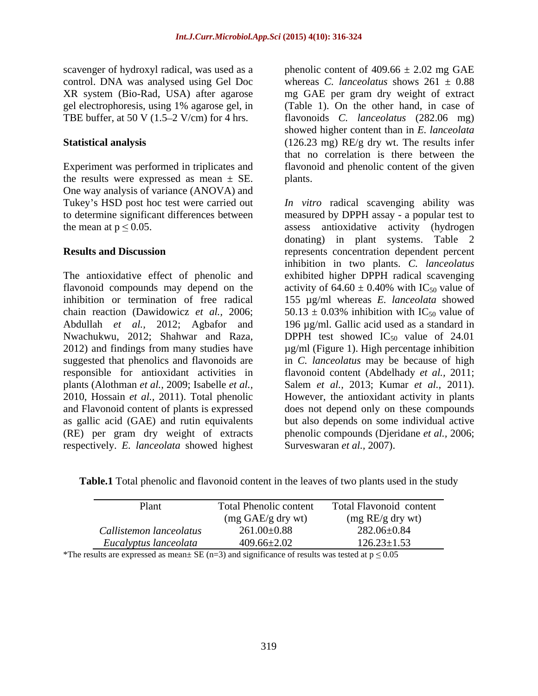scavenger of hydroxyl radical, was used as a phenolic content of  $409.66 \pm 2.02$  mg GAE TBE buffer, at 50 V  $(1.5-2$  V/cm) for 4 hrs.

the results were expressed as mean  $\pm$  SE. plants. One way analysis of variance (ANOVA) and

flavonoid compounds may depend on the activity of  $64.60 \pm 0.40\%$  with IC<sub>50</sub> value of 2012) and findings from many studies have plants (Alothman *et al.,* 2009; Isabelle *et al.,* and Flavonoid content of plants is expressed respectively. *E. lanceolata* showed highest

control. DNA was analysed using Gel Doc whereas *C. lanceolatus* shows 261 ± 0.88 XR system (Bio-Rad, USA) after agarose mg GAE per gram dry weight of extract gel electrophoresis, using 1% agarose gel, in (Table 1). On the other hand, in case of **Statistical analysis** (126.23 mg) RE/g dry wt. The results infer Experiment was performed in triplicates and flavonoid and phenolic content of the given flavonoids *C. lanceolatus* (282.06 mg) showed higher content than in *E. lanceolata* that no correlation is there between the plants.

Tukey's HSD post hoc test were carried out *In vitro* radical scavenging ability was to determine significant differences between measured by DPPH assay - a popular test to the mean at  $p \le 0.05$ . assess antioxidative activity (hydrogen **Results and Discussion represents** concentration dependent percent The antioxidative effect of phenolic and exhibited higher DPPH radical scavenging inhibition or termination of free radical 155 µg/ml whereas *E. lanceolata* showed chain reaction (Dawidowicz *et al.*, 2006;  $50.13 \pm 0.03\%$  inhibition with IC<sub>50</sub> value of Abdullah *et al.,* 2012; Agbafor and 196 µg/ml. Gallic acid used as a standard in Nwachukwu, 2012; Shahwar and Raza, DPPH test showed  $IC_{50}$  value of 24.01 suggested that phenolics and flavonoids are in *C. lanceolatus* may be because of high responsible for antioxidant activities in flavonoid content (Abdelhady *et al.,* 2011; 2010, Hossain *et al.,* 2011). Total phenolic However, the antioxidant activity in plants as gallic acid (GAE) and rutin equivalents but also depends on some individual active (RE) per gram dry weight of extracts phenolic compounds (Djeridane *et al.,* 2006; donating) in plant systems. Table 2 inhibition in two plants. *C. lanceolatus* activity of  $64.60 \pm 0.40\%$  with IC<sub>50</sub> value of µg/ml (Figure 1). High percentage inhibition Salem *et al.,* 2013; Kumar *et al.,* 2011). does not depend only on these compounds Surveswaran *et al.,* 2007).

**Table.1** Total phenolic and flavonoid content in the leaves of two plants used in the study

| Plant                                               | <b>Total Phenolic content</b> | Total Flavonoid content |
|-----------------------------------------------------|-------------------------------|-------------------------|
|                                                     | (mg GAE/g dry wt)             | (mg RE/g dry wt)        |
| $\overline{\phantom{a}}$<br>Callistemon lanceolatus | $261.00 \pm 0.88$             | 282.06±0.84             |
| Eucalyptus lanceolata                               | $409.66 \pm 2.02$             | $126.23 \pm 1.53$       |

\*The results are expressed as mean $\pm$  SE (n=3) and significance of results was tested at p  $\leq$  0.05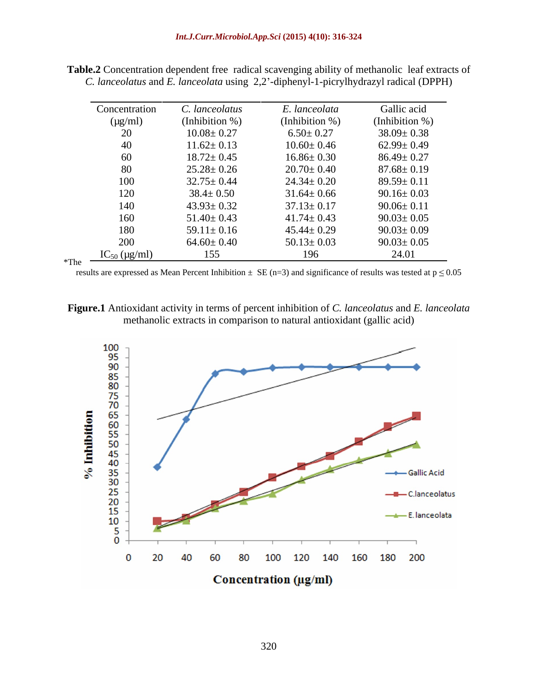| Concentration     | C. lanceolatus    | E. lanceolata    | Gallic acid      |
|-------------------|-------------------|------------------|------------------|
| $(\mu g/ml)$      | (Inhibition $%$ ) | (Inhibition %)   | (Inhibition %)   |
| 20                | $10.08 \pm 0.27$  | $6.50 \pm 0.27$  | $38.09 \pm 0.38$ |
| 40                | $11.62 \pm 0.13$  | $10.60 \pm 0.46$ | $62.99 \pm 0.49$ |
| 60                | $18.72 \pm 0.45$  | $16.86 \pm 0.30$ | $86.49 \pm 0.27$ |
| 80                | $25.28 \pm 0.26$  | $20.70 \pm 0.40$ | $87.68 \pm 0.19$ |
| 100               | $32.75 \pm 0.44$  | $24.34 \pm 0.20$ | $89.59 \pm 0.11$ |
| 120               | $38.4 \pm 0.50$   | $31.64 \pm 0.66$ | $90.16 \pm 0.03$ |
| 140               | $43.93 \pm 0.32$  | $37.13 \pm 0.17$ | $90.06 \pm 0.11$ |
| 160               | $51.40 \pm 0.43$  | $41.74 \pm 0.43$ | $90.03 \pm 0.05$ |
| 180               | $59.11 \pm 0.16$  | $45.44 \pm 0.29$ | $90.03 \pm 0.09$ |
| 200               | $64.60 \pm 0.40$  | $50.13 \pm 0.03$ | $90.03 \pm 0.05$ |
| $IC_{50}$ (µg/ml) | 155               | 196              | 24.01            |

**Table.2** Concentration dependent free radical scavenging ability of methanolic leaf extracts of *C. lanceolatus* and *E. lanceolata* using 2,2 -diphenyl-1-picrylhydrazyl radical (DPPH)

results are expressed as Mean Percent Inhibition  $\pm$  SE (n=3) and significance of results was tested at  $p \le 0.05$ 

**Figure.1** Antioxidant activity in terms of percent inhibition of *C. lanceolatus* and *E. lanceolata* methanolic extracts in comparison to natural antioxidant (gallic acid)

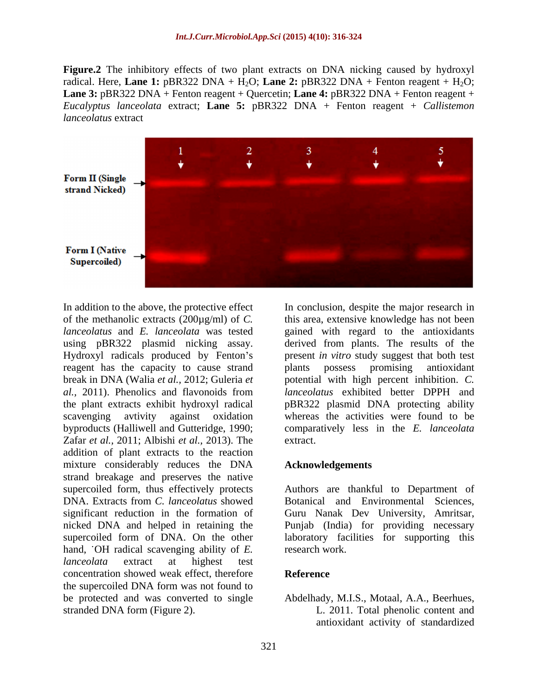**Figure.2** The inhibitory effects of two plant extracts on DNA nicking caused by hydroxyl radical. Here, **Lane 1:** pBR322 DNA + H<sub>2</sub>O; **Lane 2:** pBR322 DNA + Fenton reagent + H<sub>2</sub>O; **Lane 3:** pBR322 DNA + Fenton reagent + Quercetin; **Lane 4:** pBR322 DNA + Fenton reagent + *Eucalyptus lanceolata* extract; **Lane 5:** pBR322 DNA + Fenton reagent + *Callistemon lanceolatus* extract



In addition to the above, the protective effect In conclusion, despite the major research in of the methanolic extracts (200µg/ml) of *C.*  this area, extensive knowledge has not been *lanceolatus* and *E. lanceolata* was tested gained with regard to the antioxidants using pBR322 plasmid nicking assay. derived from plants. The results of the Hydroxyl radicals produced by Fenton's present *in vitro* study suggest that both test reagent has the capacity to cause strand plants possess promising antioxidant break in DNA (Walia *et al.,* 2012; Guleria *et al.,* 2011). Phenolics and flavonoids from the plant extracts exhibit hydroxyl radical scavenging avtivity against oxidation whereas the activities were found to be byproducts (Halliwell and Gutteridge, 1990; comparatively less in the *E. lanceolata* Zafar *et al.,* 2011; Albishi *et al.,* 2013). The addition of plant extracts to the reaction mixture considerably reduces the DNA **Acknowledgements** strand breakage and preserves the native supercoiled form of DNA. On the other hand, OH radical scavenging ability of *E*. research work. *lanceolata* extract at highest test concentration showed weak effect, therefore the supercoiled DNA form was not found to be protected and was converted to single Abdelhady, M.I.S., Motaal, A.A., Beerhues, stranded DNA form (Figure 2). L. 2011. Total phenolic content and

plants possess promising antioxidant potential with high percent inhibition.*C. lanceolatus* exhibited better DPPH and pBR322 plasmid DNA protecting ability extract.

### **Acknowledgements**

supercoiled form, thus effectively protects Authors are thankful to Department of DNA. Extracts from *C. lanceolatus* showed significant reduction in the formation of Guru Nanak Dev University, Amritsar, nicked DNA and helped in retaining the Punjab (India) for providing necessary Botanical and Environmental Sciences, laboratory facilities for supporting this research work.

### **Reference**

antioxidant activity of standardized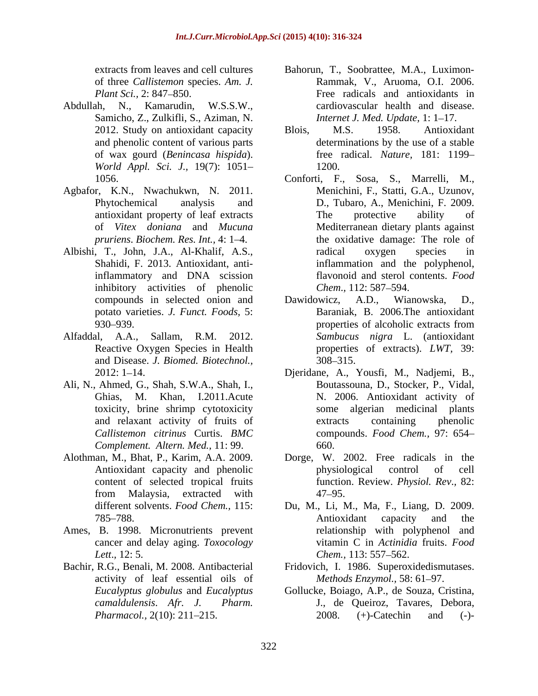- Abdullah, N., Kamarudin, W.S.S.W., cardiovascular health and disease. Samicho, Z., Zulkifli, S., Aziman, N. *World Appl. Sci. J.,* 19(7): 1051
- Agbafor, K.N., Nwachukwn, N. 2011.
- inflammatory and DNA scission inhibitory activities of phenolic Chem., 112: 587–594.
- and Disease. *J. Biomed. Biotechnol.,*
- Ali, N., Ahmed, G., Shah, S.W.A., Shah, I., toxicity, brine shrimp cytotoxicity *Complement. Altern. Med.,* 11: 99.
- 
- Ames, B. 1998. Micronutrients prevent cancer and delay aging. *Toxocology Lett.*, 12: 5. *Chem.*, 113: 557–562.
- Bachir, R.G., Benali, M. 2008. Antibacterial activity of leaf essential oils of
- extracts from leaves and cell cultures Bahorun, T., Soobrattee, M.A., Luximon of three *Callistemon* species. *Am. J.* Rammak, V., Aruoma, O.I. 2006. *Plant Sci.*, 2: 847–850. Free radicals and antioxidants in *Internet J. Med. Update, 1: 1-17.*
- 2012. Study on antioxidant capacity Blois, M.S. 1958. Antioxidant and phenolic content of various parts determinations by the use of a stable of wax gourd (*Benincasa hispida*). free radical. *Nature,* 181: 1199 Blois, M.S. 1958. Antioxidant 1200.
- 1056. Conforti, F., Sosa, S., Marrelli, M., Phytochemical analysis and D., Tubaro, A., Menichini, F. 2009. antioxidant property of leaf extracts of *Vitex doniana* and *Mucuna*  Mediterranean dietary plants against *pruriens. Biochem. Res. Int.,* 4: 1–4. The oxidative damage: The role of Albishi, T., John, J.A., Al-Khalif, A.S., Shahidi, F. 2013. Antioxidant, anti-inflammation and the polyphenol, Menichini, F., Statti, G.A., Uzunov, The protective ability of radical oxygen species in flavonoid and sterol contents. *Food Chem.,* 112: 587–594.
- compounds in selected onion and Dawidowicz, A.D., Wianowska, D., potato varieties. *J. Funct. Foods,* 5: Baraniak, B. 2006.The antioxidant 930–939. properties of alcoholic extracts from Alfaddal, A.A., Sallam, R.M. 2012. *Sambucus nigra* L. (antioxidant Reactive Oxygen Species in Health properties of extracts). *LWT,* 39: Dawidowicz, A.D., Wianowska, D., properties of alcoholic extracts from 308 315.
	- 2012: 1 14. Djeridane, A., Yousfi, M., Nadjemi, B., Ghias, M. Khan, I.2011.Acute N. 2006. Antioxidant activity of and relaxant activity of fruits of *Callistemon citrinus* Curtis. *BMC*  compounds. *Food Chem.,* 97: 654 Boutassouna, D., Stocker, P., Vidal, algerian medicinal plants extracts containing phenolic 660.
- Alothman, M., Bhat, P., Karim, A.A. 2009. Dorge, W. 2002. Free radicals in the Antioxidant capacity and phenolic by physiological control of cell content of selected tropical fruits function. Review. *Physiol. Rev*.*,* 82: from Malaysia, extracted with physiological control of cell 47 95.
	- different solvents. *Food Chem.,* 115: Du, M., Li, M., Ma, F., Liang, D. 2009. 785–788. Consumers a metal and the metal of the metal and the metal of the metal of the metal of the metal of the metal of the metal of the metal of the metal of the metal of the metal of the metal of the metal of the meta Antioxidant capacity and the relationship with polyphenol and vitamin C in *Actinidia* fruits. *Food Chem.,* 113: 557–562.
		- Fridovich, I. 1986. Superoxidedismutases. *Methods Enzymol.*, 58: 61-97.
	- *Eucalyptus globulus* and *Eucalyptus*  Gollucke, Boiago, A.P., de Souza, Cristina, *camaldulensis*. *Afr. J. Pharm.* J., de Queiroz, Tavares, Debora, *Pharmacol.,* 2(10): 211–215. 2008. (+)-Catechin and (-)-2008. (+)-Catechin and (-)-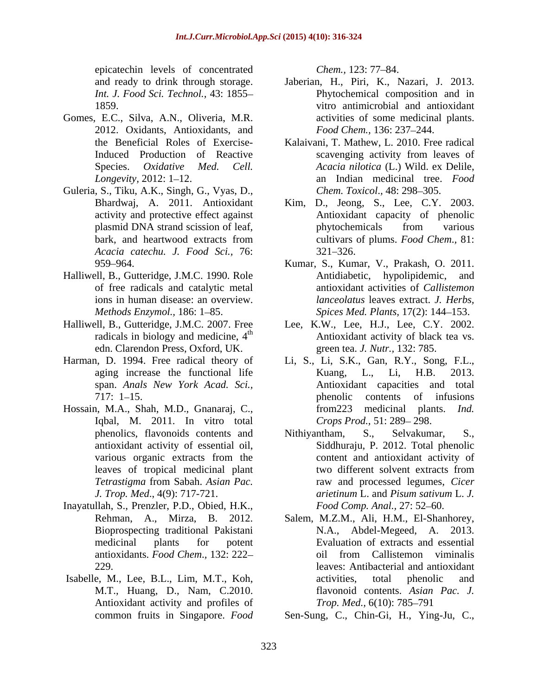epicatechin levels of concentrated Chem., 123: 77–84.

- Gomes, E.C., Silva, A.N., Oliveria, M.R. 2012. Oxidants, Antioxidants, and
- Guleria, S., Tiku, A.K., Singh, G., Vyas, D., *Acacia catechu. J. Food Sci.,* 76:
- Halliwell, B., Gutteridge, J.M.C. 1990. Role Antidiabetic, hypolipidemic, and of free radicals and catalytic metal
- edn. Clarendon Press, Oxford, UK.
- 
- Hossain, M.A., Shah, M.D., Gnanaraj, C., from 223 medicinal plants. *Ind.* Iqbal, M. 2011. In vitro total
- Inayatullah, S., Prenzler, P.D., Obied, H.K.,
- Antioxidant activity and profiles of Trop. Med., 6(10): 785–791

*Chem.,* 123: 77–84.

- and ready to drink through storage. Jaberian, H., Piri, K., Nazari, J. 2013. *Int. J. Food Sci. Technol.,* 43: 1855 Phytochemical composition and in 1859. vitro antimicrobial and antioxidant activities of some medicinal plants. Food Chem., 136: 237-244.
- the Beneficial Roles of Exercise-Kalaivani, T. Mathew, L. 2010. Free radical Induced Production of Reactive scavenging activity from leaves of Species. *Oxidative Med. Cell. Acacia nilotica* (L.) Wild. ex Delile, *Longevity*, 2012: 1–12. **an** Indian medicinal tree. *Food* scavenging activity from leaves of *Chem. Toxicol., 48: 298–305.*
- Bhardwaj, A. 2011. Antioxidant Kim, D., Jeong, S., Lee, C.Y. 2003. activity and protective effect against Antioxidant capacity of phenolic plasmid DNA strand scission of leaf, bark, and heartwood extracts from cultivars of plums. Food Chem., 81: phytochemicals from various cultivars of plums. *Food Chem*.*,* 81:  $321 - 326.$
- 959 964. Kumar, S., Kumar, V., Prakash, O. 2011. ions in human disease: an overview. *lanceolatus* leaves extract. *J. Herbs, Methods Enzymol.,* 186: 1 85. *Spices Med. Plants,* 17(2): 144 153. Antidiabetic, hypolipidemic, antioxidant activities of *Callistemon*
- Halliwell, B., Gutteridge, J.M.C. 2007. Free Lee, K.W., Lee, H.J., Lee, C.Y. 2002. radicals in biology and medicine,  $4<sup>th</sup>$  Antioxidant activity of black tea vs. green tea. *J. Nutr.,* 132: 785.
- Harman, D. 1994. Free radical theory of Li, S., Li, S.K., Gan, R.Y., Song, F.L., aging increase the functional life Kuang, L., Li, H.B. 2013. span. *Anals New York Acad. Sci.,* Antioxidant capacities and total 717: 1–15. henolic contents of infusions Kuang, L., Li, H.B. 2013. phenolic contents of infusions from223 medicinal plants. *Ind. Crops Prod.,* 51: 289-298.
	- phenolics, flavonoids contents and Mithiyantham, S., Selvakumar, S., antioxidant activity of essential oil, Siddhuraju, P. 2012. Total phenolic various organic extracts from the content and antioxidant activity of leaves of tropical medicinal plant *Tetrastigma* from Sabah. *Asian Pac. J. Trop. Med*., 4(9): 717-721. Nithiyantham, S., Selvakumar, S., content and antioxidant activity of two different solvent extracts from raw and processed legumes, *Cicer arietinum* L. and *Pisum sativum* L. *J. Food Comp. Anal., 27: 52-60.*
- Rehman, A., Mirza, B. 2012. Salem, M.Z.M., Ali, H.M., El-Shanhorey, Bioprospecting traditional Pakistani N.A., Abdel-Megeed, A. 2013. medicinal plants for potent Evaluation of extracts and essential antioxidants. *Food Chem.*, 132: 222– oil from Callistemon viminalis 229. leaves: Antibacterial and antioxidant Isabelle, M., Lee, B.L., Lim, M.T., Koh, activities, total phenolic and M.T., Huang, D., Nam, C.2010. The flavonoid contents. Asian Pac. J. oil from Callistemon viminalis activities, total phenolic and flavonoid contents. *Asian Pac. J. Trop. Med.,* 6(10): 785–791

common fruits in Singapore. *Food*  Sen-Sung, C., Chin-Gi, H., Ying-Ju, C.,